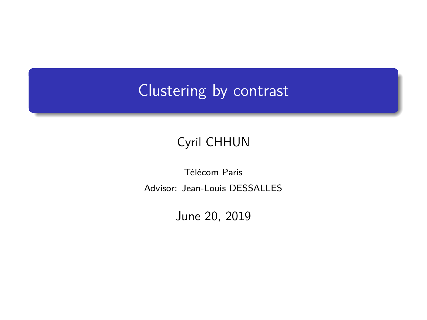# <span id="page-0-0"></span>Clustering by contrast

#### Cyril CHHUN

Télécom Paris Advisor: Jean-Louis DESSALLES

June 20, 2019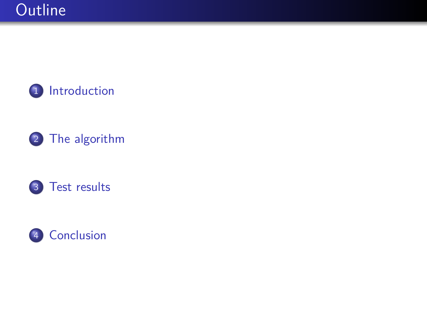





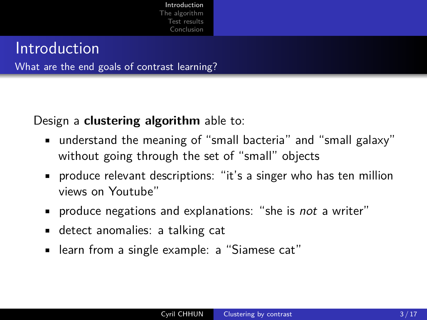### <span id="page-2-0"></span>Introduction

What are the end goals of contrast learning?

Design a **clustering algorithm** able to:

- understand the meaning of "small bacteria" and "small galaxy" without going through the set of "small" objects
- produce relevant descriptions: "it's a singer who has ten million views on Youtube"
- **•** produce negations and explanations: "she is *not* a writer"
- detect anomalies: a talking cat
- learn from a single example: a "Siamese cat"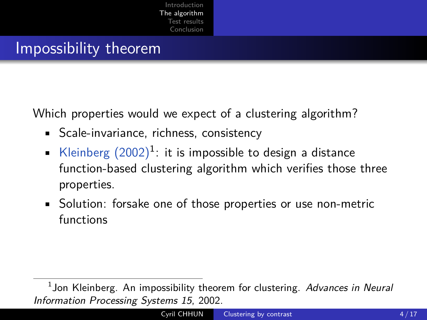#### <span id="page-3-0"></span>Impossibility theorem

Which properties would we expect of a clustering algorithm?

- Scale-invariance, richness, consistency
- Kleinberg  $(2002)^{1}$ : it is impossible to design a distance function-based clustering algorithm which verifies those three properties.
- Solution: forsake one of those properties or use non-metric functions

 $^1$ Jon Kleinberg. An impossibility theorem for clustering. Advances in Neural Information Processing Systems 15, 2002.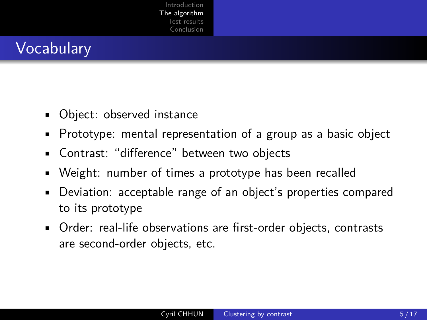# **Vocabulary**

- Object: observed instance
- Prototype: mental representation of a group as a basic object
- Contrast: "difference" between two objects
- Weight: number of times a prototype has been recalled
- Deviation: acceptable range of an object's properties compared to its prototype
- Order: real-life observations are first-order objects, contrasts are second-order objects, etc.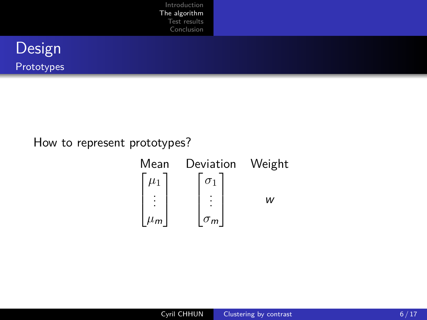|                      | Introduction<br>The algorithm<br>Test results<br>Conclusion |  |  |
|----------------------|-------------------------------------------------------------|--|--|
| Design<br>Prototypes |                                                             |  |  |

How to represent prototypes?

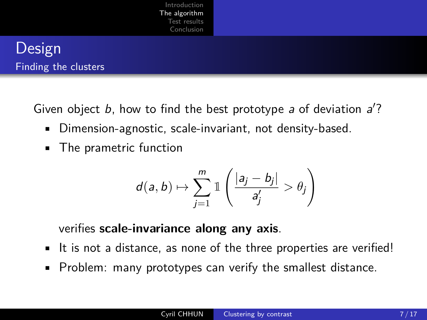

Given object  $b$ , how to find the best prototype  $a$  of deviation  $a$ ?

- Dimension-agnostic, scale-invariant, not density-based.
- The prametric function

$$
d(a,b)\mapsto \sum_{j=1}^m \mathbb{1}\left(\frac{|a_j-b_j|}{a'_j}>\theta_j\right)
$$

verifies **scale-invariance along any axis**.

- It is not a distance, as none of the three properties are verified!
- Problem: many prototypes can verify the smallest distance.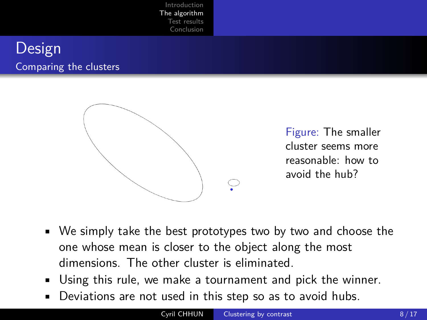#### **Design** Comparing the clusters



Figure: The smaller cluster seems more reasonable: how to avoid the hub?

- We simply take the best prototypes two by two and choose the one whose mean is closer to the object along the most dimensions. The other cluster is eliminated.
- Using this rule, we make a tournament and pick the winner.
- Deviations are not used in this step so as to avoid hubs.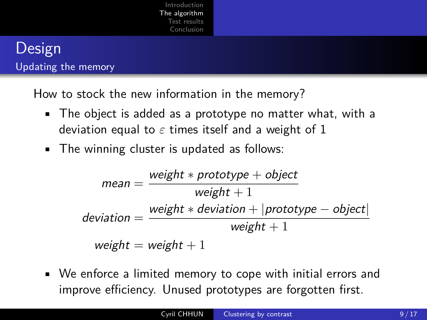#### **Design** Updating the memory

How to stock the new information in the memory?

- The object is added as a prototype no matter what, with a deviation equal to  $\varepsilon$  times itself and a weight of 1
- The winning cluster is updated as follows:

$$
mean = \frac{weight * prototype + object}{weight + 1}
$$
  
deviation = 
$$
\frac{weight * deviation + | prototype - object|}{weight + 1}
$$
  
weight = weight + 1

• We enforce a limited memory to cope with initial errors and improve efficiency. Unused prototypes are forgotten first.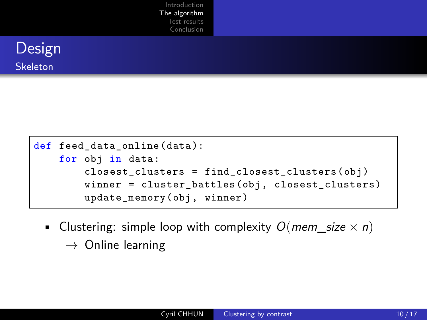```
def feed_data_online (data ):
for obj in data:
    closest clusters = find closest clusters (obj)winner = cluster_battles(obj, closest_clusters)
    update memory (obj, winner)
```
- Clustering: simple loop with complexity  $O(mem\text{ size} \times n)$ 
	- $\rightarrow$  Online learning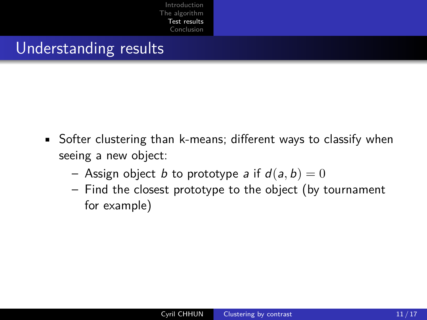### <span id="page-10-0"></span>Understanding results

- Softer clustering than k-means; different ways to classify when seeing a new object:
	- Assign object b to prototype a if  $d(a, b) = 0$
	- Find the closest prototype to the object (by tournament for example)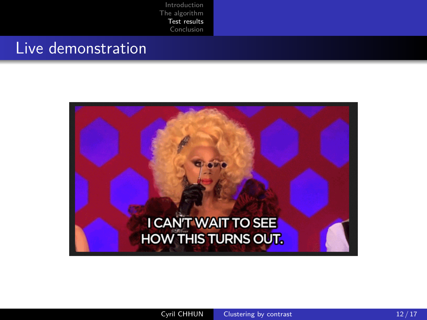#### Live demonstration

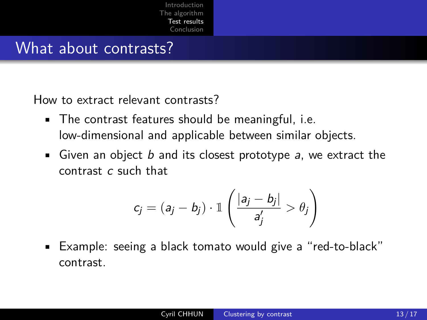#### What about contrasts?

How to extract relevant contrasts?

- The contrast features should be meaningful, i.e. low-dimensional and applicable between similar objects.
- Given an object  $b$  and its closest prototype  $a$ , we extract the contrast c such that

$$
c_j = (a_j - b_j) \cdot \mathbb{1} \left( \frac{|a_j - b_j|}{a'_j} > \theta_j \right)
$$

• Example: seeing a black tomato would give a "red-to-black" contrast.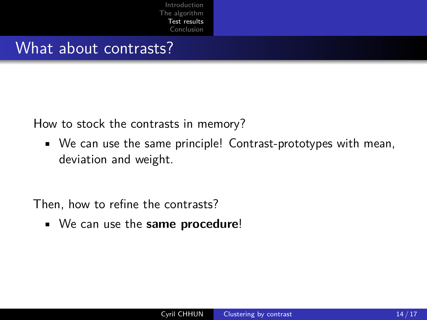#### What about contrasts?

How to stock the contrasts in memory?

• We can use the same principle! Contrast-prototypes with mean, deviation and weight.

Then, how to refine the contrasts?

• We can use the **same procedure**!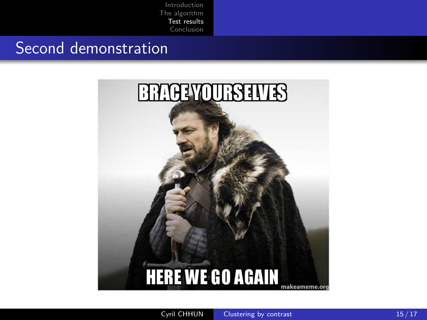### Second demonstration

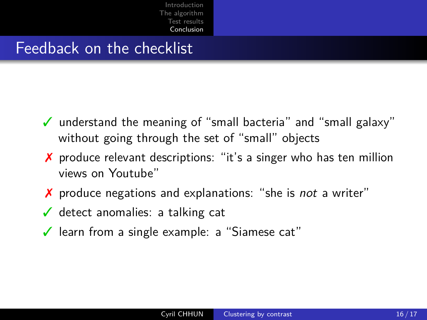#### <span id="page-15-0"></span>Feedback on the checklist

- ✓ understand the meaning of "small bacteria" and "small galaxy" without going through the set of "small" objects
- ✗ produce relevant descriptions: "it's a singer who has ten million views on Youtube"
- ✗ produce negations and explanations: "she is not a writer"
- $\checkmark$  detect anomalies: a talking cat
- ✓ learn from a single example: a "Siamese cat"